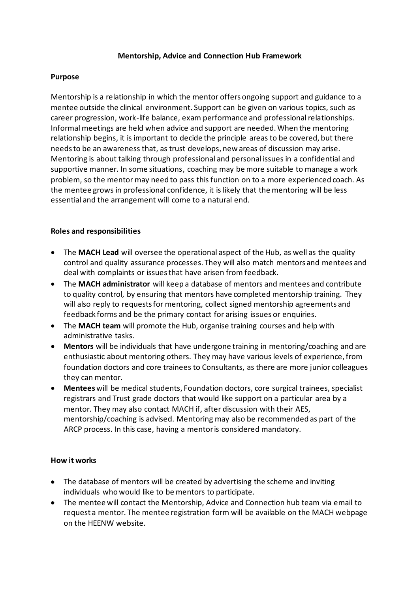# **Mentorship, Advice and Connection Hub Framework**

# **Purpose**

Mentorship is a relationship in which the mentor offers ongoing support and guidance to a mentee outside the clinical environment. Support can be given on various topics, such as career progression, work-life balance, exam performance and professional relationships. Informal meetings are held when advice and support are needed. When the mentoring relationship begins, it is important to decide the principle areas to be covered, but there needs to be an awareness that, as trust develops, new areas of discussion may arise. Mentoring is about talking through professional and personal issues in a confidential and supportive manner. In some situations, coaching may be more suitable to manage a work problem, so the mentor may need to pass this function on to a more experienced coach. As the mentee grows in professional confidence, it is likely that the mentoring will be less essential and the arrangement will come to a natural end.

# **Roles and responsibilities**

- The **MACH Lead** will oversee the operational aspect of the Hub, as well as the quality control and quality assurance processes. They will also match mentors and mentees and deal with complaints or issues that have arisen from feedback.
- The **MACH administrator** will keep a database of mentors and mentees and contribute to quality control, by ensuring that mentors have completed mentorship training. They will also reply to requests for mentoring, collect signed mentorship agreements and feedback forms and be the primary contact for arising issues or enquiries.
- The **MACH team** will promote the Hub, organise training courses and help with administrative tasks.
- **Mentors** will be individuals that have undergone training in mentoring/coaching and are enthusiastic about mentoring others. They may have various levels of experience, from foundation doctors and core trainees to Consultants, as there are more junior colleagues they can mentor.
- **Mentees**will be medical students, Foundation doctors, core surgical trainees, specialist registrars and Trust grade doctors that would like support on a particular area by a mentor. They may also contact MACH if, after discussion with their AES, mentorship/coaching is advised. Mentoring may also be recommended as part of the ARCP process. In this case, having a mentor is considered mandatory.

#### **How it works**

- The database of mentors will be created by advertising the scheme and inviting individuals who would like to be mentors to participate.
- The mentee will contact the Mentorship, Advice and Connection hub team via email to request a mentor. The mentee registration form will be available on the MACH webpage on the HEENW website.